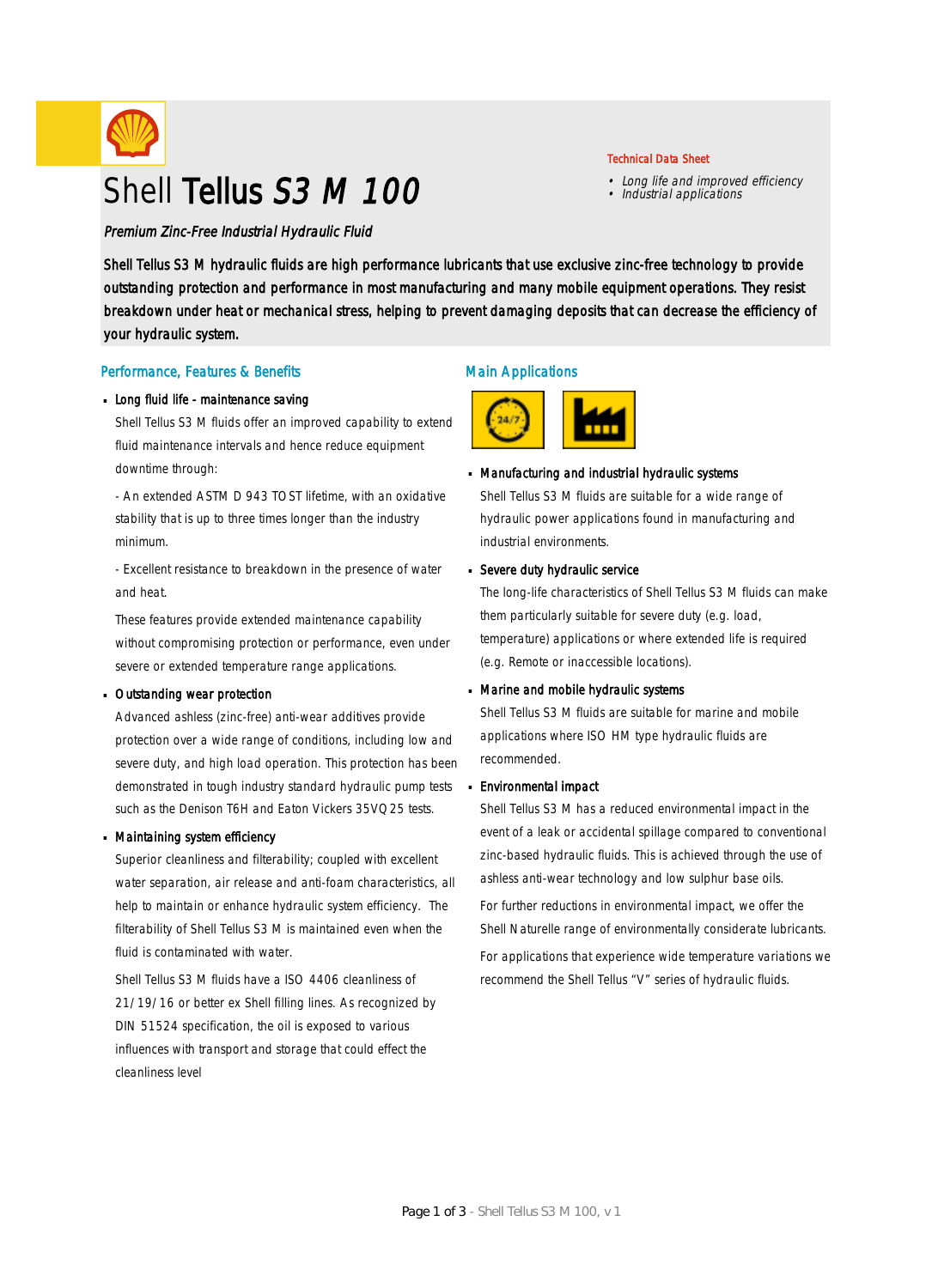

# Shell Tellus S3 M 100

Premium Zinc-Free Industrial Hydraulic Fluid

Shell Tellus S3 M hydraulic fluids are high performance lubricants that use exclusive zinc-free technology to provide outstanding protection and performance in most manufacturing and many mobile equipment operations. They resist breakdown under heat or mechanical stress, helping to prevent damaging deposits that can decrease the efficiency of your hydraulic system.

#### Performance, Features & Benefits

#### Long fluid life - maintenance saving

Shell Tellus S3 M fluids offer an improved capability to extend fluid maintenance intervals and hence reduce equipment downtime through:

- An extended ASTM D 943 TOST lifetime, with an oxidative stability that is up to three times longer than the industry minimum.

- Excellent resistance to breakdown in the presence of water and heat.

These features provide extended maintenance capability without compromising protection or performance, even under severe or extended temperature range applications.

#### Outstanding wear protection ·

Advanced ashless (zinc-free) anti-wear additives provide protection over a wide range of conditions, including low and severe duty, and high load operation. This protection has been demonstrated in tough industry standard hydraulic pump tests such as the Denison T6H and Eaton Vickers 35VQ25 tests.

#### Maintaining system efficiency ·

Superior cleanliness and filterability; coupled with excellent water separation, air release and anti-foam characteristics, all help to maintain or enhance hydraulic system efficiency. The filterability of Shell Tellus S3 M is maintained even when the fluid is contaminated with water.

Shell Tellus S3 M fluids have a ISO 4406 cleanliness of 21/19/16 or better ex Shell filling lines. As recognized by DIN 51524 specification, the oil is exposed to various influences with transport and storage that could effect the cleanliness level

### Main Applications



# Manufacturing and industrial hydraulic systems ·

Shell Tellus S3 M fluids are suitable for a wide range of hydraulic power applications found in manufacturing and industrial environments.

Technical Data Sheet

• Long life and improved efficiency • Industrial applications

#### Severe duty hydraulic service ·

The long-life characteristics of Shell Tellus S3 M fluids can make them particularly suitable for severe duty (e.g. load, temperature) applications or where extended life is required (e.g. Remote or inaccessible locations).

# Marine and mobile hydraulic systems ·

Shell Tellus S3 M fluids are suitable for marine and mobile applications where ISO HM type hydraulic fluids are recommended.

#### Environmental impact ·

Shell Tellus S3 M has a reduced environmental impact in the event of a leak or accidental spillage compared to conventional zinc-based hydraulic fluids. This is achieved through the use of ashless anti-wear technology and low sulphur base oils.

For further reductions in environmental impact, we offer the Shell Naturelle range of environmentally considerate lubricants. For applications that experience wide temperature variations we recommend the Shell Tellus "V" series of hydraulic fluids.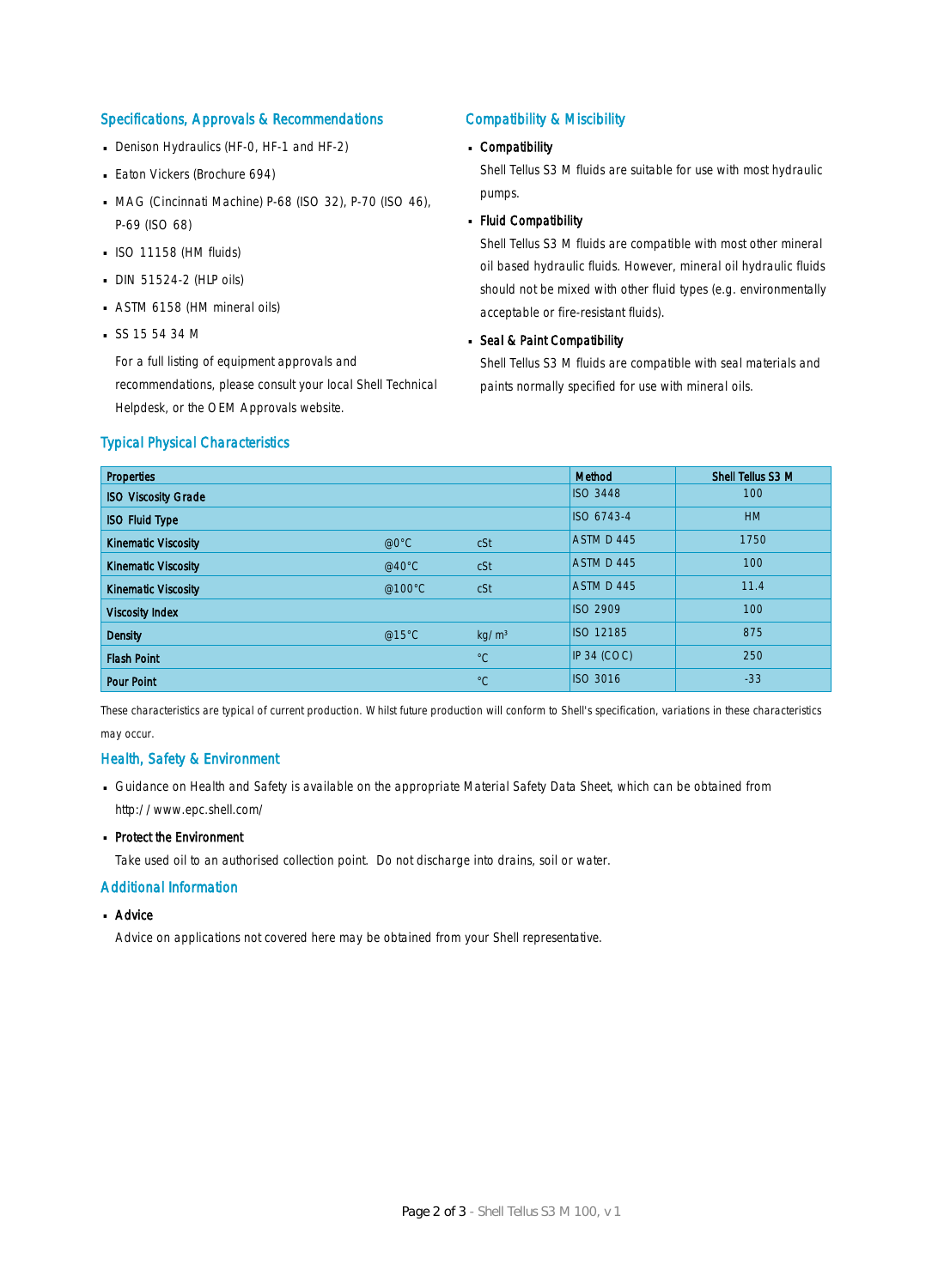#### Specifications, Approvals & Recommendations

- Denison Hydraulics (HF-0, HF-1 and HF-2)
- **Eaton Vickers (Brochure 694)**
- MAG (Cincinnati Machine) P-68 (ISO 32), P-70 (ISO 46), P-69 (ISO 68)
- $\blacksquare$  ISO 11158 (HM fluids)
- DIN 51524-2 (HLP oils) ·
- ASTM 6158 (HM mineral oils) ·
- $S$ SS 15 54 34 M

For a full listing of equipment approvals and recommendations, please consult your local Shell Technical Helpdesk, or the OEM Approvals website.

### Compatibility & Miscibility

# Compatibility ·

Shell Tellus S3 M fluids are suitable for use with most hydraulic pumps.

Fluid Compatibility ·

Shell Tellus S3 M fluids are compatible with most other mineral oil based hydraulic fluids. However, mineral oil hydraulic fluids should not be mixed with other fluid types (e.g. environmentally acceptable or fire-resistant fluids).

# Seal & Paint Compatibility

Shell Tellus S3 M fluids are compatible with seal materials and paints normally specified for use with mineral oils.

#### Typical Physical Characteristics

| <b>Properties</b>          |                  |                   | <b>Method</b>    | Shell Tellus S3 M |
|----------------------------|------------------|-------------------|------------------|-------------------|
| <b>ISO Viscosity Grade</b> |                  |                   | <b>ISO 3448</b>  | 100               |
| <b>ISO Fluid Type</b>      |                  |                   | ISO 6743-4       | <b>HM</b>         |
| <b>Kinematic Viscosity</b> | @0°C             | cSt               | ASTM D 445       | 1750              |
| <b>Kinematic Viscosity</b> | @40 $^{\circ}$ C | cSt               | ASTM D 445       | 100               |
| <b>Kinematic Viscosity</b> | @100°C           | cSt               | ASTM D 445       | 11.4              |
| <b>Viscosity Index</b>     |                  |                   | <b>ISO 2909</b>  | 100               |
| <b>Density</b>             | @15 $°C$         | kg/m <sup>3</sup> | <b>ISO 12185</b> | 875               |
| <b>Flash Point</b>         |                  | $^{\circ}C$       | IP 34 (COC)      | 250               |
| <b>Pour Point</b>          |                  | $^{\circ}C$       | <b>ISO 3016</b>  | $-33$             |

These characteristics are typical of current production. Whilst future production will conform to Shell's specification, variations in these characteristics may occur.

#### Health, Safety & Environment

■ Guidance on Health and Safety is available on the appropriate Material Safety Data Sheet, which can be obtained from http://www.epc.shell.com/

# • Protect the Environment

Take used oil to an authorised collection point. Do not discharge into drains, soil or water.

#### Additional Information

# ■ Advice

Advice on applications not covered here may be obtained from your Shell representative.